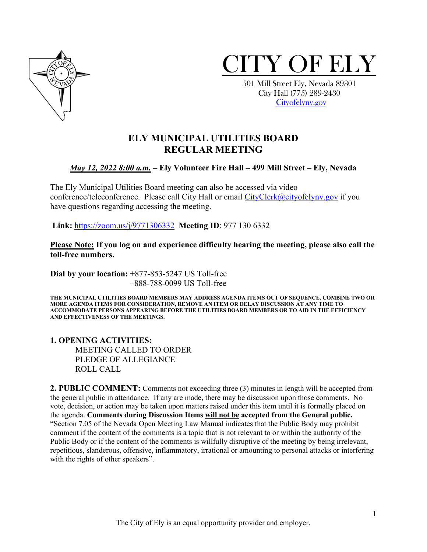



 City Hall (775) 289-2430 [Cityofelynv.gov](mailto:Cityofelynv.gov) 

# **ELY MUNICIPAL UTILITIES BOARD REGULAR MEETING**

#### *May 12, 2022 8:00 a.m.* **– Ely Volunteer Fire Hall – 499 Mill Street – Ely, Nevada**

The Ely Municipal Utilities Board meeting can also be accessed via video conference/teleconference. Please call City Hall or email [CityClerk@cityofelynv.gov](mailto:CityClerk@cityofelynv.gov) if you have questions regarding accessing the meeting.

**Link:** [https://zoom.us/j/9771306332](https://zoom.us/j/9771306332?status=success) **Meeting ID**: 977 130 6332

**Please Note: If you log on and experience difficulty hearing the meeting, please also call the toll-free numbers.** 

**Dial by your location:** +877-853-5247 US Toll-free +888-788-0099 US Toll-free

**THE MUNICIPAL UTILITIES BOARD MEMBERS MAY ADDRESS AGENDA ITEMS OUT OF SEQUENCE, COMBINE TWO OR MORE AGENDA ITEMS FOR CONSIDERATION, REMOVE AN ITEM OR DELAY DISCUSSION AT ANY TIME TO ACCOMMODATE PERSONS APPEARING BEFORE THE UTILITIES BOARD MEMBERS OR TO AID IN THE EFFICIENCY AND EFFECTIVENESS OF THE MEETINGS.**

#### **1. OPENING ACTIVITIES:**  MEETING CALLED TO ORDER PLEDGE OF ALLEGIANCE ROLL CALL

**2. PUBLIC COMMENT:** Comments not exceeding three (3) minutes in length will be accepted from the general public in attendance. If any are made, there may be discussion upon those comments. No vote, decision, or action may be taken upon matters raised under this item until it is formally placed on the agenda. **Comments during Discussion Items will not be accepted from the General public.**  "Section 7.05 of the Nevada Open Meeting Law Manual indicates that the Public Body may prohibit comment if the content of the comments is a topic that is not relevant to or within the authority of the Public Body or if the content of the comments is willfully disruptive of the meeting by being irrelevant, repetitious, slanderous, offensive, inflammatory, irrational or amounting to personal attacks or interfering with the rights of other speakers".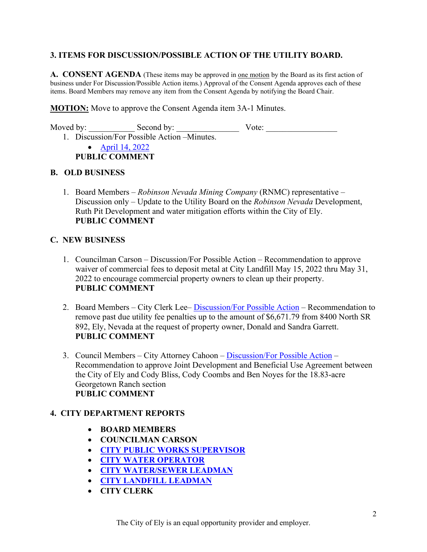## **3. ITEMS FOR DISCUSSION/POSSIBLE ACTION OF THE UTILITY BOARD.**

**A. CONSENT AGENDA** (These items may be approved in one motion by the Board as its first action of business under For Discussion/Possible Action items.) Approval of the Consent Agenda approves each of these items. Board Members may remove any item from the Consent Agenda by notifying the Board Chair.

**MOTION:** Move to approve the Consent Agenda item 3A-1 Minutes.

Moved by: \_\_\_\_\_\_\_\_\_\_\_ Second by: \_\_\_\_\_\_\_\_\_\_\_\_\_\_\_ Vote: \_\_\_\_\_\_\_\_\_\_\_\_\_\_\_\_\_

1. Discussion/For Possible Action –Minutes.

• [April 14, 2022](https://www.cityofelynv.gov/pdf/UtilityBoard2022/5-12-22/ub4-14-22meeting.pdf)  **PUBLIC COMMENT**

#### **B. OLD BUSINESS**

1. Board Members – *Robinson Nevada Mining Company* (RNMC) representative – Discussion only – Update to the Utility Board on the *Robinson Nevada* Development, Ruth Pit Development and water mitigation efforts within the City of Ely. **PUBLIC COMMENT**

#### **C. NEW BUSINESS**

- 1. Councilman Carson Discussion/For Possible Action Recommendation to approve waiver of commercial fees to deposit metal at City Landfill May 15, 2022 thru May 31, 2022 to encourage commercial property owners to clean up their property. **PUBLIC COMMENT**
- 2. Board Members City Clerk Lee– [Discussion/For Possible Action](https://www.cityofelynv.gov/pdf/UtilityBoard2022/5-12-22/utilityacctpenaltywaiver.pdf)  Recommendation to remove past due utility fee penalties up to the amount of \$6,671.79 from 8400 North SR 892, Ely, Nevada at the request of property owner, Donald and Sandra Garrett. **PUBLIC COMMENT**
- 3. Council Members City Attorney Cahoon – [Discussion/For Possible Action](https://www.cityofelynv.gov/pdf/UtilityBoard2022/5-12-22/BlissCoombsNoyesGeorgetownLeaseDraft.pdf)  Recommendation to approve Joint Development and Beneficial Use Agreement between the City of Ely and Cody Bliss, Cody Coombs and Ben Noyes for the 18.83-acre Georgetown Ranch section **PUBLIC COMMENT**

### **4. CITY DEPARTMENT REPORTS**

- **BOARD MEMBERS**
- **COUNCILMAN CARSON**
- **[CITY PUBLIC WORKS SUPERVISOR](https://www.cityofelynv.gov/pdf/UtilityBoard2022/5-12-22/PublicworksApril22report.pdf)**
- **[CITY WATER OPERATOR](https://www.cityofelynv.gov/pdf/UtilityBoard2022/5-12-22/wateroperatorreportapril22.pdf)**
- **[CITY WATER/SEWER](https://www.cityofelynv.gov/pdf/UtilityBoard2022/5-12-22/water-seweraprilreport22.pdf) LEADMAN**
- **[CITY LANDFILL LEADMAN](https://www.cityofelynv.gov/pdf/UtilityBoard2022/5-12-22/landfillapril22report.pdf)**
- **CITY CLERK**